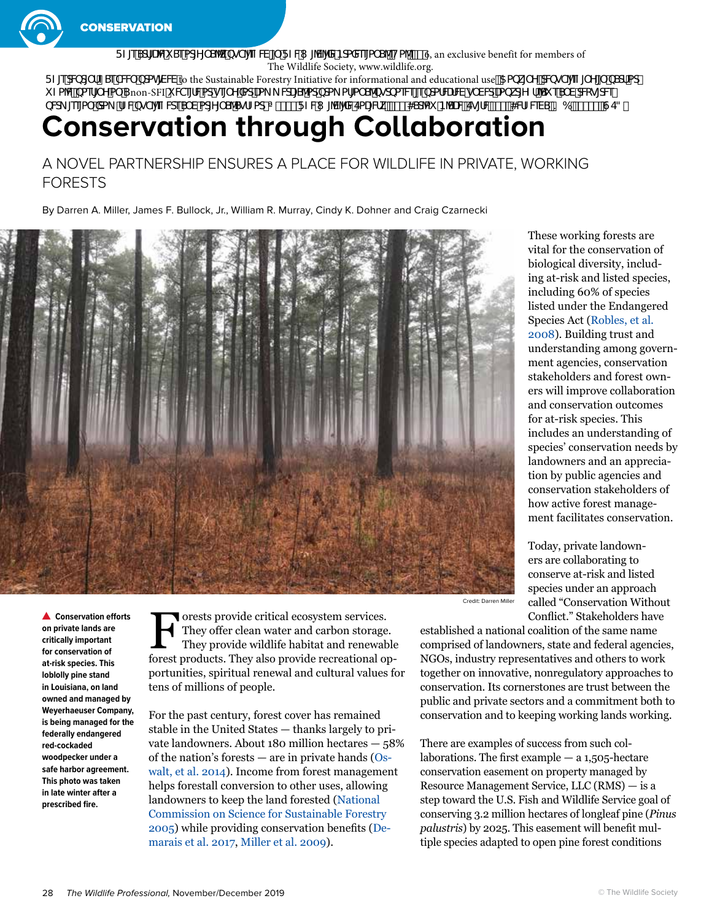

FZeSdJUW SeadY S<sup>N</sup>k bgT'eZW | FZW /V/XWBdaXd4a S1Ha Z#%6, an exclusive benefit for members of The Wildlife Society, www.wildlife.org. FZ[edMd]`fZSeTWUbdah]WV to the Sustainable Forestry Initiative for informational and educational usež5abk[`MdMgT'[eZ]`Y[`bSeffad]

i Za'Wbaef[`Ya` Snon-SFI i We[fWddge[`YXddLa\_\_WL[S'adbda\_af[a`S'bgdbaeW|ebdafWrWg`WdLabkd[YZf'Si eS`VdWg[dW bWL [ee[a` Xb\_ fZWbgT'[eZWES`VadY[`S^SgfZacEAS''#+FZW`['V'[XWEaU]WKk &S' 4Sclai B'SUMEg[fWS''"}4WEZWASI? 6 S'\*#&}GE3ž

# **Conservation through Collaboration**

A NOVEL PARTNERSHIP ENSURES A PLACE FOR WILDLIFE IN PRIVATE, WORKING FORESTS

By Darren A. Miller, James F. Bullock, Jr., William R. Murray, Cindy K. Dohner and Craig Czarnecki



**Conservation efforts on private lands are critically important for conservation of at-risk species. This loblolly pine stand in Louisiana, on land owned and managed by Weyerhaeuser Company, is being managed for the federally endangered red-cockaded woodpecker under a safe harbor agreement. This photo was taken in late winter after a prescribed fire.**

Forests provide critical ecosystem services.<br>They offer clean water and carbon storage.<br>They provide wildlife habitat and renewab They offer clean water and carbon storage. They provide wildlife habitat and renewable forest products. They also provide recreational opportunities, spiritual renewal and cultural values for tens of millions of people.

For the past century, forest cover has remained stable in the United States — thanks largely to private landowners. About 180 million hectares — 58% of the nation's forests — are in private hands ([Os](https://www.fs.usda.gov/treesearch/pubs/47322)[walt, et al. 2014](https://www.fs.usda.gov/treesearch/pubs/47322)). Income from forest management helps forestall conversion to other uses, allowing landowners to keep the land forested [\(National](https://www.srs.fs.usda.gov/pubs/42526)  [Commission on Science for Sustainable Forestry](https://www.srs.fs.usda.gov/pubs/42526)  [2005](https://www.srs.fs.usda.gov/pubs/42526)) while providing conservation benefits ([De](https://www.sciencedirect.com/science/article/abs/pii/S0378112716307198?via%3Dihub)[marais et al. 2017,](https://www.sciencedirect.com/science/article/abs/pii/S0378112716307198?via%3Dihub) [Miller et al. 2009](https://academic.oup.com/jof/article/107/4/197/4598864)).

These working forests are vital for the conservation of biological diversity, including at-risk and listed species, including 60% of species listed under the Endangered Species Act [\(Robles, et al.](https://www.fs.fed.us/rm/pubs_other/rmrs_2008_robles_m001.pdf)  [2008\)](https://www.fs.fed.us/rm/pubs_other/rmrs_2008_robles_m001.pdf). Building trust and understanding among government agencies, conservation stakeholders and forest owners will improve collaboration and conservation outcomes for at-risk species. This includes an understanding of species' conservation needs by landowners and an appreciation by public agencies and conservation stakeholders of how active forest management facilitates conservation.

Today, private landowners are collaborating to conserve at-risk and listed species under an approach called ["Conservation Without](http://congressionalsportsmen.org/the-media-room/news/csf-joins-conservation-without-conflict-summit)  [Conflict](http://congressionalsportsmen.org/the-media-room/news/csf-joins-conservation-without-conflict-summit)." Stakeholders have

Credit: Darren Miller

established a national coalition of the same name comprised of landowners, state and federal agencies, NGOs, industry representatives and others to work together on innovative, nonregulatory approaches to conservation. Its cornerstones are trust between the public and private sectors and a commitment both to conservation and to keeping working lands working.

There are examples of success from such collaborations. The first example  $- a 1,505$ -hectare conservation easement on property managed by Resource Management Service, LLC (RMS) — is a step toward the U.S. Fish and Wildlife Service goal of conserving 3.2 million hectares of longleaf pine (*Pinus palustris*) by 2025. This easement will benefit multiple species adapted to open pine forest conditions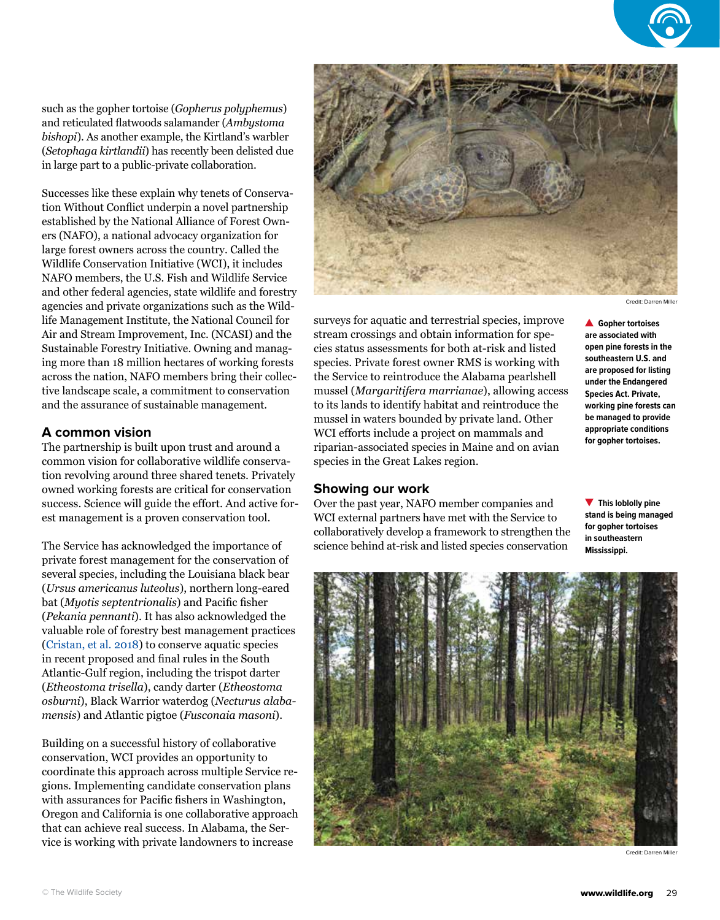such as the gopher tortoise (*Gopherus polyphemus*) and reticulated flatwoods salamander (*Ambystoma bishopi*). As another example, the Kirtland's warbler (*Setophaga kirtlandii*) has recently been delisted due in large part to a public-private collaboration.

Successes like these explain why tenets of Conservation Without Conflict underpin a novel partnership established by the [National Alliance of Forest Own](https://nafoalliance.org/)[ers](https://nafoalliance.org/) (NAFO), a national advocacy organization for large forest owners across the country. Called the Wildlife Conservation Initiative (WCI), it includes NAFO members, the U.S. Fish and Wildlife Service and other federal agencies, state wildlife and forestry agencies and private organizations such as [the Wild](https://wildlifemanagement.institute/)[life Management Institute,](https://wildlifemanagement.institute/) the [National Council for](http://www.ncasi.org)  [Air and Stream Improvement, I](http://www.ncasi.org)nc. (NCASI) and [the](http://www.sfiprogram.org)  [Sustainable Forestry Initiative](http://www.sfiprogram.org). Owning and managing more than 18 million hectares of working forests across the nation, NAFO members bring their collective landscape scale, a commitment to conservation and the assurance of sustainable management.

## **A common vision**

The partnership is built upon trust and around a common vision for collaborative wildlife conservation revolving around three shared [tenets.](https://nafoalliance.org/issues/wildlife/) Privately owned working forests are critical for conservation success. Science will guide the effort. And active forest management is a proven conservation tool.

The Service has acknowledged the importance of private forest management for the conservation of several species, including the Louisiana black bear (*Ursus americanus luteolus*), northern long-eared bat (*Myotis septentrionalis*) and Pacific fisher (*Pekania pennanti*). It has also acknowledged the valuable role of forestry best management practices [\(Cristan, et al. 2018\)](https://www.sciencedirect.com/science/article/abs/pii/S0378112717303936) to conserve aquatic species in recent proposed and final rules in the South Atlantic-Gulf region, including the trispot darter (*Etheostoma trisella*), candy darter (*Etheostoma osburni*), Black Warrior waterdog (*Necturus alabamensis*) and Atlantic pigtoe (*Fusconaia masoni*).

Building on a successful history of collaborative conservation, WCI provides an opportunity to coordinate this approach across multiple Service regions. Implementing candidate conservation plans with assurances for Pacific fishers in Washington, Oregon and California is one collaborative approach that can achieve real success. In Alabama, the Service is working with private landowners to increase



species. Private forest owner RMS is working with the Service to reintroduce the Alabama pearlshell mussel (*Margaritifera marrianae*), allowing access to its lands to identify habitat and reintroduce the mussel in waters bounded by private land. Other WCI efforts include a project on mammals and riparian-associated species in Maine and on avian species in the Great Lakes region.

#### **Showing our work**

Over the past year, NAFO member companies and WCI external partners have met with the Service to collaboratively develop a framework to strengthen the science behind at-risk and listed species conservation

**open pine forests in the southeastern U.S. and are proposed for listing under the Endangered Species Act. Private, working pine forests can be managed to provide appropriate conditions for gopher tortoises.**

**This loblolly pine stand is being managed for gopher tortoises in southeastern Mississippi.**



Credit: Darren Mille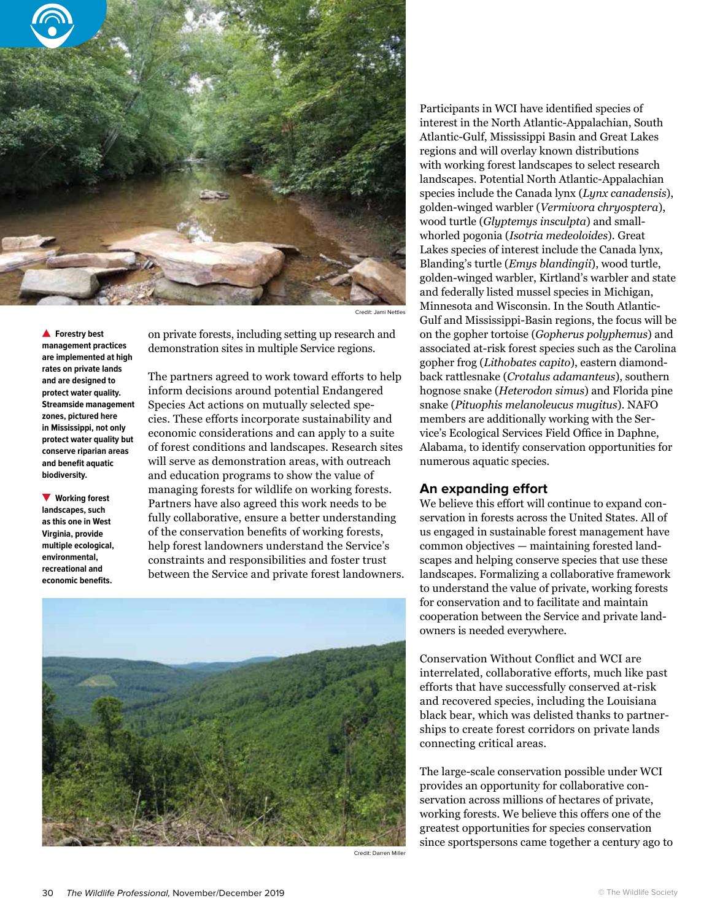

Credit: Jami Nettles

**A** Forestry best **management practices are implemented at high rates on private lands and are designed to protect water quality. Streamside management zones, pictured here in Mississippi, not only protect water quality but conserve riparian areas and benefit aquatic biodiversity.**

**Working forest landscapes, such as this one in West Virginia, provide multiple ecological, environmental, recreational and economic benefits.**

on private forests, including setting up research and demonstration sites in multiple Service regions.

The partners agreed to work toward efforts to help inform decisions around potential Endangered Species Act actions on mutually selected species. These efforts incorporate sustainability and economic considerations and can apply to a suite of forest conditions and landscapes. Research sites will serve as demonstration areas, with outreach and education programs to show the value of managing forests for wildlife on working forests. Partners have also agreed this work needs to be fully collaborative, ensure a better understanding of the conservation benefits of working forests, help forest landowners understand the Service's constraints and responsibilities and foster trust between the Service and private forest landowners.



Credit: Darren Miller

Participants in WCI have identified species of interest in the North Atlantic-Appalachian, South Atlantic-Gulf, Mississippi Basin and Great Lakes regions and will overlay known distributions with working forest landscapes to select research landscapes. Potential North Atlantic-Appalachian species include the Canada lynx (*Lynx canadensis*), golden-winged warbler (*Vermivora chryosptera*), wood turtle (*Glyptemys insculpta*) and smallwhorled pogonia (*Isotria medeoloides*). Great Lakes species of interest include the Canada lynx, Blanding's turtle (*Emys blandingii*), wood turtle, golden-winged warbler, Kirtland's warbler and state and federally listed mussel species in Michigan, Minnesota and Wisconsin. In the South Atlantic-Gulf and Mississippi-Basin regions, the focus will be on the gopher tortoise (*Gopherus polyphemus*) and associated at-risk forest species such as the Carolina gopher frog (*Lithobates capito*), eastern diamondback rattlesnake (*Crotalus adamanteus*), southern hognose snake (*Heterodon simus*) and Florida pine snake (*Pituophis melanoleucus mugitus*). NAFO members are additionally working with the Service's Ecological Services Field Office in Daphne, Alabama, to identify conservation opportunities for numerous aquatic species.

#### **An expanding effort**

We believe this effort will continue to expand conservation in forests across the United States. All of us engaged in sustainable forest management have common objectives — maintaining forested landscapes and helping conserve species that use these landscapes. Formalizing a collaborative framework to understand the value of private, working forests for conservation and to facilitate and maintain cooperation between the Service and private landowners is needed everywhere.

Conservation Without Conflict and WCI are interrelated, collaborative efforts, much like past efforts that have successfully conserved at-risk and recovered species, including the Louisiana black bear, which was delisted thanks to partnerships to create forest corridors on private lands connecting critical areas.

The large-scale conservation possible under WCI provides an opportunity for collaborative conservation across millions of hectares of private, working forests. We believe this offers one of the greatest opportunities for species conservation since sportspersons came together a century ago to